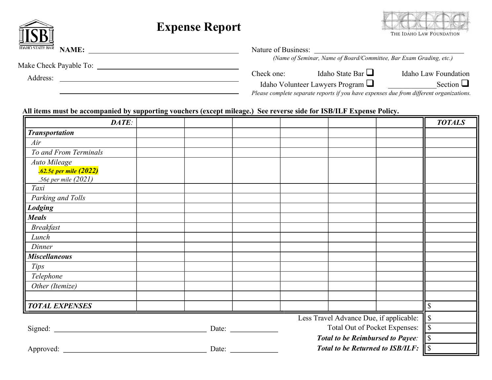|                                        | <b>Expense Report</b> |                                                                                                                                              |                                                                    | THE IDAHO LAW FOUNDATION |  |
|----------------------------------------|-----------------------|----------------------------------------------------------------------------------------------------------------------------------------------|--------------------------------------------------------------------|--------------------------|--|
| <b>IDAHO STATE BAR</b><br><b>NAME:</b> |                       | Nature of Business:                                                                                                                          | (Name of Seminar, Name of Board/Committee, Bar Exam Grading, etc.) |                          |  |
| Make Check Payable To:<br>Address:     |                       | Check one:                                                                                                                                   | Idaho State Bar $\Box$                                             | Idaho Law Foundation     |  |
|                                        |                       | Section $\Box$<br>Idaho Volunteer Lawyers Program<br>Please complete separate reports if you have expenses due from different organizations. |                                                                    |                          |  |

mont

## All items must be accompanied by supporting vouchers (except mileage.) See reverse side for ISB/ILF Expense Policy.

| DATE:                                   |  |  |       |                                        |       |    | <b>TOTALS</b> |
|-----------------------------------------|--|--|-------|----------------------------------------|-------|----|---------------|
| <b>Transportation</b>                   |  |  |       |                                        |       |    |               |
| Air                                     |  |  |       |                                        |       |    |               |
| To and From Terminals                   |  |  |       |                                        |       |    |               |
| <b>Auto Mileage</b>                     |  |  |       |                                        |       |    |               |
| .62.5¢ per mile (2022)                  |  |  |       |                                        |       |    |               |
| .56¢ per mile $(2021)$                  |  |  |       |                                        |       |    |               |
| Taxi                                    |  |  |       |                                        |       |    |               |
| Parking and Tolls                       |  |  |       |                                        |       |    |               |
| Lodging                                 |  |  |       |                                        |       |    |               |
| <b>Meals</b>                            |  |  |       |                                        |       |    |               |
| <b>Breakfast</b>                        |  |  |       |                                        |       |    |               |
| Lunch                                   |  |  |       |                                        |       |    |               |
| Dinner                                  |  |  |       |                                        |       |    |               |
| <b>Miscellaneous</b>                    |  |  |       |                                        |       |    |               |
| <b>Tips</b>                             |  |  |       |                                        |       |    |               |
| Telephone                               |  |  |       |                                        |       |    |               |
| Other (Itemize)                         |  |  |       |                                        |       |    |               |
|                                         |  |  |       |                                        |       |    |               |
| <b>TOTAL EXPENSES</b>                   |  |  |       |                                        |       |    | $\mathcal{S}$ |
| Less Travel Advance Due, if applicable: |  |  |       |                                        |       | \$ |               |
| Total Out of Pocket Expenses:<br>Date:  |  |  |       |                                        | ll \$ |    |               |
| <b>Total to be Reimbursed to Payee:</b> |  |  |       |                                        | ll S  |    |               |
| Approved:                               |  |  | Date: | Total to be Returned to ISB/ILF: $\ \$ |       |    |               |